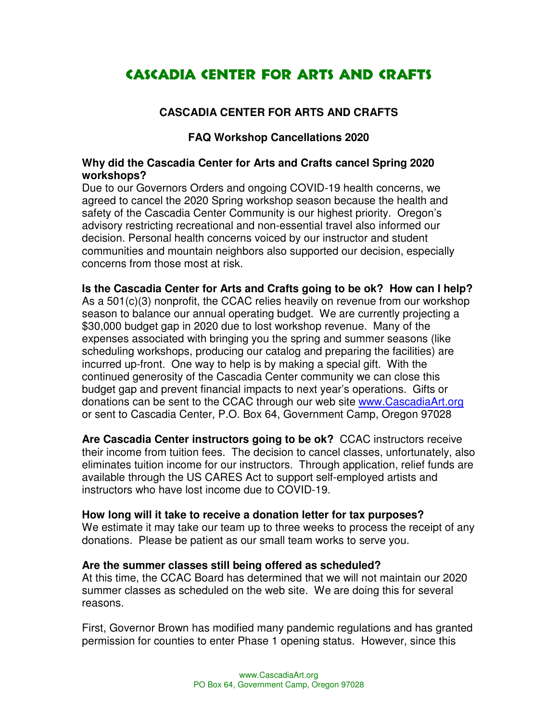# Cascadia Center for Arts and Crafts

# **CASCADIA CENTER FOR ARTS AND CRAFTS**

# **FAQ Workshop Cancellations 2020**

## **Why did the Cascadia Center for Arts and Crafts cancel Spring 2020 workshops?**

Due to our Governors Orders and ongoing COVID-19 health concerns, we agreed to cancel the 2020 Spring workshop season because the health and safety of the Cascadia Center Community is our highest priority. Oregon's advisory restricting recreational and non-essential travel also informed our decision. Personal health concerns voiced by our instructor and student communities and mountain neighbors also supported our decision, especially concerns from those most at risk.

**Is the Cascadia Center for Arts and Crafts going to be ok? How can I help?** As a 501(c)(3) nonprofit, the CCAC relies heavily on revenue from our workshop season to balance our annual operating budget. We are currently projecting a \$30,000 budget gap in 2020 due to lost workshop revenue. Many of the expenses associated with bringing you the spring and summer seasons (like scheduling workshops, producing our catalog and preparing the facilities) are incurred up-front. One way to help is by making a special gift. With the continued generosity of the Cascadia Center community we can close this budget gap and prevent financial impacts to next year's operations. Gifts or donations can be sent to the CCAC through our web site www.CascadiaArt.org or sent to Cascadia Center, P.O. Box 64, Government Camp, Oregon 97028

**Are Cascadia Center instructors going to be ok?** CCAC instructors receive their income from tuition fees. The decision to cancel classes, unfortunately, also eliminates tuition income for our instructors. Through application, relief funds are available through the US CARES Act to support self-employed artists and instructors who have lost income due to COVID-19.

#### **How long will it take to receive a donation letter for tax purposes?**

We estimate it may take our team up to three weeks to process the receipt of any donations. Please be patient as our small team works to serve you.

#### **Are the summer classes still being offered as scheduled?**

At this time, the CCAC Board has determined that we will not maintain our 2020 summer classes as scheduled on the web site. We are doing this for several reasons.

First, Governor Brown has modified many pandemic regulations and has granted permission for counties to enter Phase 1 opening status. However, since this